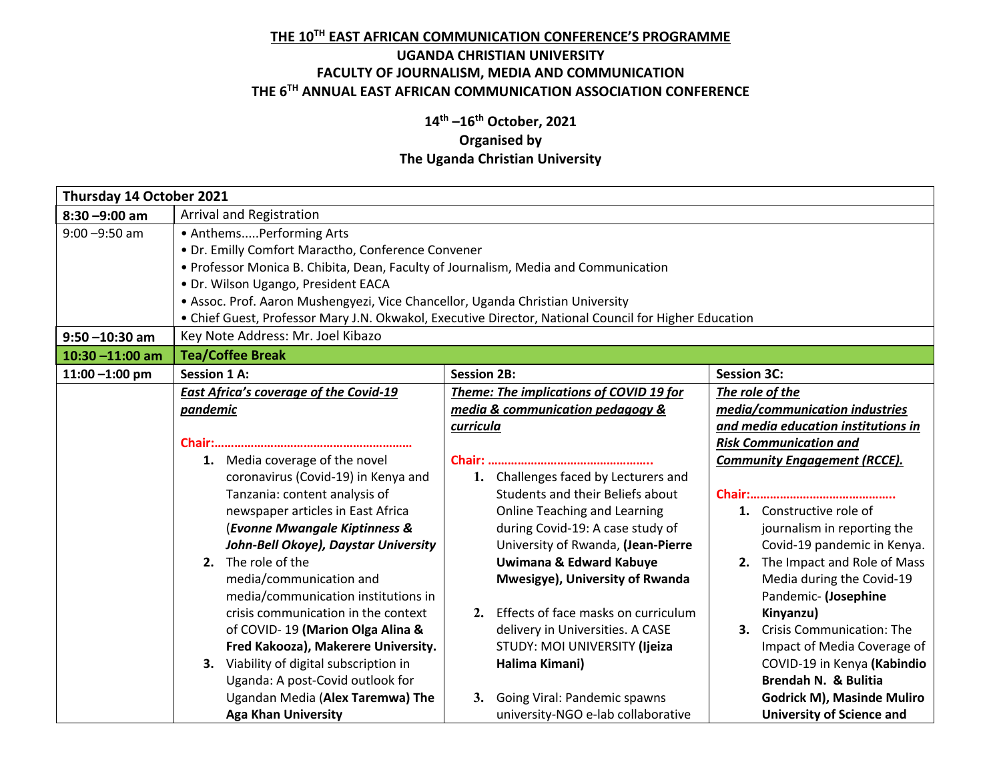## **THE 10TH EAST AFRICAN COMMUNICATION CONFERENCE'S PROGRAMME**

## **UGANDA CHRISTIAN UNIVERSITY FACULTY OF JOURNALISM, MEDIA AND COMMUNICATION THE 6TH ANNUAL EAST AFRICAN COMMUNICATION ASSOCIATION CONFERENCE**

## **14th –16th October, 2021 Organised by The Uganda Christian University**

| Thursday 14 October 2021 |                                                                                                       |                                           |                                     |  |  |
|--------------------------|-------------------------------------------------------------------------------------------------------|-------------------------------------------|-------------------------------------|--|--|
| $8:30 - 9:00$ am         | Arrival and Registration                                                                              |                                           |                                     |  |  |
| $9:00 - 9:50$ am         | • AnthemsPerforming Arts                                                                              |                                           |                                     |  |  |
|                          | • Dr. Emilly Comfort Maractho, Conference Convener                                                    |                                           |                                     |  |  |
|                          | • Professor Monica B. Chibita, Dean, Faculty of Journalism, Media and Communication                   |                                           |                                     |  |  |
|                          | · Dr. Wilson Ugango, President EACA                                                                   |                                           |                                     |  |  |
|                          | • Assoc. Prof. Aaron Mushengyezi, Vice Chancellor, Uganda Christian University                        |                                           |                                     |  |  |
|                          | • Chief Guest, Professor Mary J.N. Okwakol, Executive Director, National Council for Higher Education |                                           |                                     |  |  |
| $9:50 - 10:30$ am        | Key Note Address: Mr. Joel Kibazo                                                                     |                                           |                                     |  |  |
| $10:30 - 11:00$ am       | <b>Tea/Coffee Break</b>                                                                               |                                           |                                     |  |  |
| $11:00 - 1:00$ pm        | <b>Session 1 A:</b>                                                                                   | <b>Session 2B:</b>                        | <b>Session 3C:</b>                  |  |  |
|                          | <b>East Africa's coverage of the Covid-19</b>                                                         | Theme: The implications of COVID 19 for   | The role of the                     |  |  |
|                          | pandemic                                                                                              | media & communication pedagogy &          | media/communication industries      |  |  |
|                          |                                                                                                       | curricula                                 | and media education institutions in |  |  |
|                          |                                                                                                       |                                           | <b>Risk Communication and</b>       |  |  |
|                          | 1. Media coverage of the novel                                                                        |                                           | <b>Community Engagement (RCCE).</b> |  |  |
|                          | coronavirus (Covid-19) in Kenya and                                                                   | 1. Challenges faced by Lecturers and      |                                     |  |  |
|                          | Tanzania: content analysis of                                                                         | Students and their Beliefs about          |                                     |  |  |
|                          | newspaper articles in East Africa                                                                     | <b>Online Teaching and Learning</b>       | 1. Constructive role of             |  |  |
|                          | (Evonne Mwangale Kiptinness &                                                                         | during Covid-19: A case study of          | journalism in reporting the         |  |  |
|                          | John-Bell Okoye), Daystar University                                                                  | University of Rwanda, (Jean-Pierre        | Covid-19 pandemic in Kenya.         |  |  |
|                          | 2. The role of the                                                                                    | Uwimana & Edward Kabuye                   | 2. The Impact and Role of Mass      |  |  |
|                          | media/communication and                                                                               | Mwesigye), University of Rwanda           | Media during the Covid-19           |  |  |
|                          | media/communication institutions in                                                                   |                                           | Pandemic- (Josephine                |  |  |
|                          | crisis communication in the context                                                                   | Effects of face masks on curriculum<br>2. | Kinyanzu)                           |  |  |
|                          | of COVID-19 (Marion Olga Alina &                                                                      | delivery in Universities. A CASE          | 3. Crisis Communication: The        |  |  |
|                          | Fred Kakooza), Makerere University.                                                                   | STUDY: MOI UNIVERSITY (Ijeiza             | Impact of Media Coverage of         |  |  |
|                          | 3. Viability of digital subscription in                                                               | Halima Kimani)                            | COVID-19 in Kenya (Kabindio         |  |  |
|                          | Uganda: A post-Covid outlook for                                                                      |                                           | Brendah N. & Bulitia                |  |  |
|                          | Ugandan Media (Alex Taremwa) The                                                                      | Going Viral: Pandemic spawns<br>3.        | <b>Godrick M), Masinde Muliro</b>   |  |  |
|                          | <b>Aga Khan University</b>                                                                            | university-NGO e-lab collaborative        | <b>University of Science and</b>    |  |  |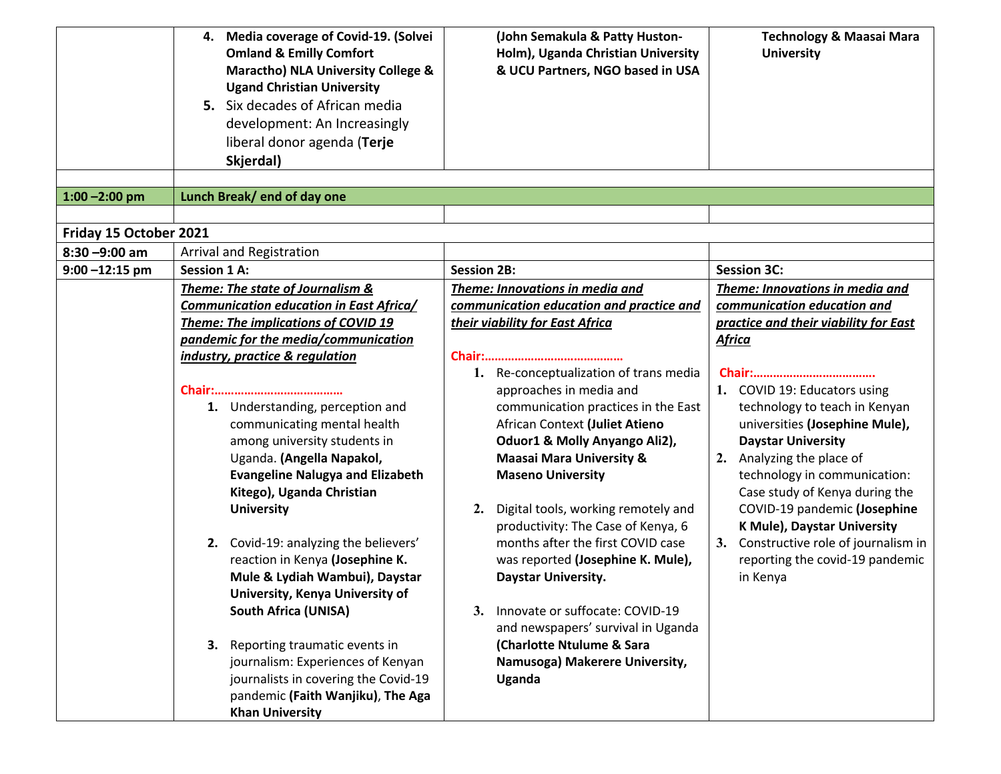|                        | <b>Media coverage of Covid-19. (Solvei</b><br>4.<br><b>Omland &amp; Emilly Comfort</b><br><b>Maractho) NLA University College &amp;</b><br><b>Ugand Christian University</b><br>5. Six decades of African media                                                                                                                                                                                                                                                                                                                                                                           | (John Semakula & Patty Huston-<br>Holm), Uganda Christian University<br>& UCU Partners, NGO based in USA                                                                                                                                                                                                                                                                                                                                                                                                                                                                                | <b>Technology &amp; Maasai Mara</b><br><b>University</b>                                                                                                                                                                                                                                                                                                                           |
|------------------------|-------------------------------------------------------------------------------------------------------------------------------------------------------------------------------------------------------------------------------------------------------------------------------------------------------------------------------------------------------------------------------------------------------------------------------------------------------------------------------------------------------------------------------------------------------------------------------------------|-----------------------------------------------------------------------------------------------------------------------------------------------------------------------------------------------------------------------------------------------------------------------------------------------------------------------------------------------------------------------------------------------------------------------------------------------------------------------------------------------------------------------------------------------------------------------------------------|------------------------------------------------------------------------------------------------------------------------------------------------------------------------------------------------------------------------------------------------------------------------------------------------------------------------------------------------------------------------------------|
|                        | development: An Increasingly<br>liberal donor agenda (Terje                                                                                                                                                                                                                                                                                                                                                                                                                                                                                                                               |                                                                                                                                                                                                                                                                                                                                                                                                                                                                                                                                                                                         |                                                                                                                                                                                                                                                                                                                                                                                    |
|                        | Skjerdal)                                                                                                                                                                                                                                                                                                                                                                                                                                                                                                                                                                                 |                                                                                                                                                                                                                                                                                                                                                                                                                                                                                                                                                                                         |                                                                                                                                                                                                                                                                                                                                                                                    |
| $1:00 - 2:00$ pm       | Lunch Break/ end of day one                                                                                                                                                                                                                                                                                                                                                                                                                                                                                                                                                               |                                                                                                                                                                                                                                                                                                                                                                                                                                                                                                                                                                                         |                                                                                                                                                                                                                                                                                                                                                                                    |
|                        |                                                                                                                                                                                                                                                                                                                                                                                                                                                                                                                                                                                           |                                                                                                                                                                                                                                                                                                                                                                                                                                                                                                                                                                                         |                                                                                                                                                                                                                                                                                                                                                                                    |
| Friday 15 October 2021 |                                                                                                                                                                                                                                                                                                                                                                                                                                                                                                                                                                                           |                                                                                                                                                                                                                                                                                                                                                                                                                                                                                                                                                                                         |                                                                                                                                                                                                                                                                                                                                                                                    |
| $8:30 - 9:00$ am       | Arrival and Registration                                                                                                                                                                                                                                                                                                                                                                                                                                                                                                                                                                  |                                                                                                                                                                                                                                                                                                                                                                                                                                                                                                                                                                                         |                                                                                                                                                                                                                                                                                                                                                                                    |
| $9:00 - 12:15$ pm      | <b>Session 1 A:</b>                                                                                                                                                                                                                                                                                                                                                                                                                                                                                                                                                                       | <b>Session 2B:</b>                                                                                                                                                                                                                                                                                                                                                                                                                                                                                                                                                                      | <b>Session 3C:</b>                                                                                                                                                                                                                                                                                                                                                                 |
|                        | Theme: The state of Journalism &<br>Communication education in East Africa/<br>Theme: The implications of COVID 19                                                                                                                                                                                                                                                                                                                                                                                                                                                                        | Theme: Innovations in media and<br>communication education and practice and<br>their viability for East Africa                                                                                                                                                                                                                                                                                                                                                                                                                                                                          | Theme: Innovations in media and<br>communication education and                                                                                                                                                                                                                                                                                                                     |
|                        | pandemic for the media/communication                                                                                                                                                                                                                                                                                                                                                                                                                                                                                                                                                      |                                                                                                                                                                                                                                                                                                                                                                                                                                                                                                                                                                                         | practice and their viability for East<br><b>Africa</b>                                                                                                                                                                                                                                                                                                                             |
|                        | industry, practice & regulation                                                                                                                                                                                                                                                                                                                                                                                                                                                                                                                                                           |                                                                                                                                                                                                                                                                                                                                                                                                                                                                                                                                                                                         |                                                                                                                                                                                                                                                                                                                                                                                    |
|                        | 1. Understanding, perception and<br>communicating mental health<br>among university students in<br>Uganda. (Angella Napakol,<br><b>Evangeline Nalugya and Elizabeth</b><br>Kitego), Uganda Christian<br><b>University</b><br>2. Covid-19: analyzing the believers'<br>reaction in Kenya (Josephine K.<br>Mule & Lydiah Wambui), Daystar<br>University, Kenya University of<br><b>South Africa (UNISA)</b><br>3. Reporting traumatic events in<br>journalism: Experiences of Kenyan<br>journalists in covering the Covid-19<br>pandemic (Faith Wanjiku), The Aga<br><b>Khan University</b> | 1. Re-conceptualization of trans media<br>approaches in media and<br>communication practices in the East<br>African Context (Juliet Atieno<br>Oduor1 & Molly Anyango Ali2),<br><b>Maasai Mara University &amp;</b><br><b>Maseno University</b><br>Digital tools, working remotely and<br>2.<br>productivity: The Case of Kenya, 6<br>months after the first COVID case<br>was reported (Josephine K. Mule),<br>Daystar University.<br>3. Innovate or suffocate: COVID-19<br>and newspapers' survival in Uganda<br>(Charlotte Ntulume & Sara<br>Namusoga) Makerere University,<br>Uganda | 1. COVID 19: Educators using<br>technology to teach in Kenyan<br>universities (Josephine Mule),<br><b>Daystar University</b><br>2. Analyzing the place of<br>technology in communication:<br>Case study of Kenya during the<br>COVID-19 pandemic (Josephine<br>K Mule), Daystar University<br>3. Constructive role of journalism in<br>reporting the covid-19 pandemic<br>in Kenya |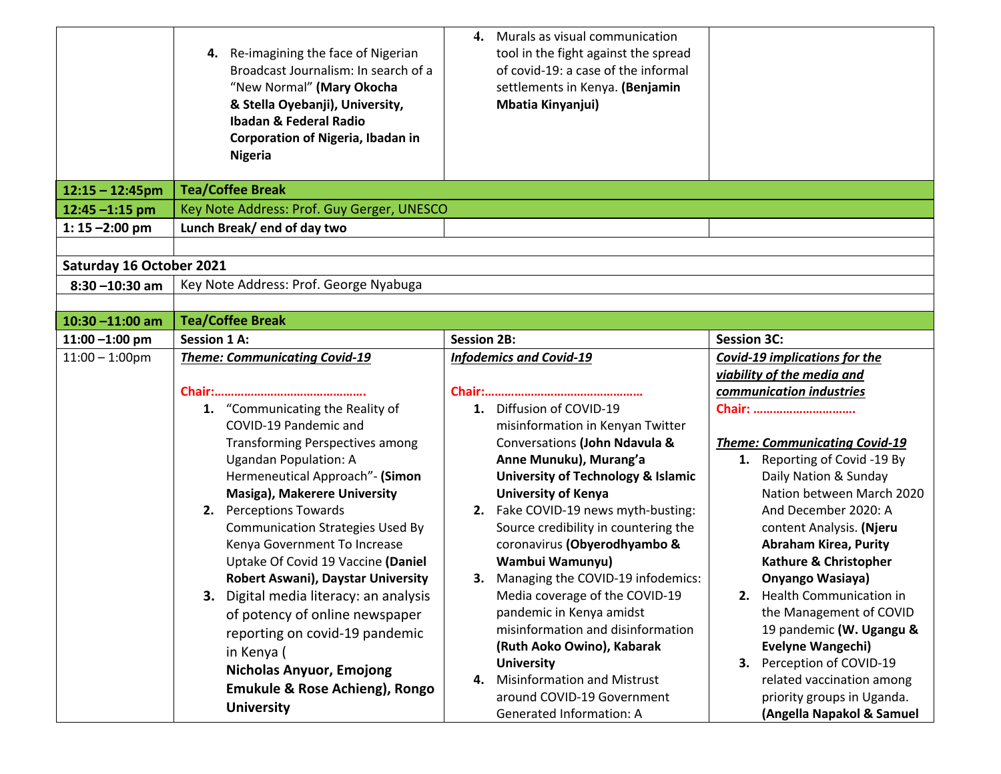|                          | 4. Re-imagining the face of Nigerian<br>Broadcast Journalism: In search of a<br>"New Normal" (Mary Okocha<br>& Stella Oyebanji), University,<br><b>Ibadan &amp; Federal Radio</b> | Murals as visual communication<br>4.<br>tool in the fight against the spread<br>of covid-19: a case of the informal<br>settlements in Kenya. (Benjamin<br><b>Mbatia Kinyanjui)</b> |                                                          |
|--------------------------|-----------------------------------------------------------------------------------------------------------------------------------------------------------------------------------|------------------------------------------------------------------------------------------------------------------------------------------------------------------------------------|----------------------------------------------------------|
|                          | <b>Corporation of Nigeria, Ibadan in</b>                                                                                                                                          |                                                                                                                                                                                    |                                                          |
|                          | <b>Nigeria</b>                                                                                                                                                                    |                                                                                                                                                                                    |                                                          |
| $12:15 - 12:45$ pm       | <b>Tea/Coffee Break</b>                                                                                                                                                           |                                                                                                                                                                                    |                                                          |
| $12:45 - 1:15$ pm        | Key Note Address: Prof. Guy Gerger, UNESCO                                                                                                                                        |                                                                                                                                                                                    |                                                          |
| 1: $15 - 2:00$ pm        | Lunch Break/end of day two                                                                                                                                                        |                                                                                                                                                                                    |                                                          |
|                          |                                                                                                                                                                                   |                                                                                                                                                                                    |                                                          |
| Saturday 16 October 2021 |                                                                                                                                                                                   |                                                                                                                                                                                    |                                                          |
| $8:30 - 10:30$ am        | Key Note Address: Prof. George Nyabuga                                                                                                                                            |                                                                                                                                                                                    |                                                          |
|                          |                                                                                                                                                                                   |                                                                                                                                                                                    |                                                          |
| $10:30 - 11:00$ am       | <b>Tea/Coffee Break</b>                                                                                                                                                           |                                                                                                                                                                                    |                                                          |
| $11:00 - 1:00$ pm        | <b>Session 1 A:</b>                                                                                                                                                               | <b>Session 2B:</b>                                                                                                                                                                 | <b>Session 3C:</b>                                       |
| $11:00 - 1:00$ pm        | <b>Theme: Communicating Covid-19</b>                                                                                                                                              | <b>Infodemics and Covid-19</b>                                                                                                                                                     | <b>Covid-19 implications for the</b>                     |
|                          |                                                                                                                                                                                   |                                                                                                                                                                                    | viability of the media and<br>communication industries   |
|                          | 1. "Communicating the Reality of                                                                                                                                                  | 1. Diffusion of COVID-19                                                                                                                                                           | Chair:                                                   |
|                          | COVID-19 Pandemic and                                                                                                                                                             | misinformation in Kenyan Twitter                                                                                                                                                   |                                                          |
|                          | <b>Transforming Perspectives among</b>                                                                                                                                            | Conversations (John Ndavula &                                                                                                                                                      | <b>Theme: Communicating Covid-19</b>                     |
|                          | <b>Ugandan Population: A</b>                                                                                                                                                      | Anne Munuku), Murang'a                                                                                                                                                             | 1. Reporting of Covid -19 By                             |
|                          | Hermeneutical Approach"- (Simon                                                                                                                                                   | <b>University of Technology &amp; Islamic</b>                                                                                                                                      | Daily Nation & Sunday                                    |
|                          | Masiga), Makerere University                                                                                                                                                      | <b>University of Kenya</b>                                                                                                                                                         | Nation between March 2020                                |
|                          | <b>Perceptions Towards</b><br>2.                                                                                                                                                  | 2. Fake COVID-19 news myth-busting:                                                                                                                                                | And December 2020: A                                     |
|                          | <b>Communication Strategies Used By</b><br>Kenya Government To Increase                                                                                                           | Source credibility in countering the<br>coronavirus (Obyerodhyambo &                                                                                                               | content Analysis. (Njeru<br><b>Abraham Kirea, Purity</b> |
|                          | Uptake Of Covid 19 Vaccine (Daniel                                                                                                                                                | Wambui Wamunyu)                                                                                                                                                                    | Kathure & Christopher                                    |
|                          | <b>Robert Aswani), Daystar University</b>                                                                                                                                         | 3. Managing the COVID-19 infodemics:                                                                                                                                               | Onyango Wasiaya)                                         |
|                          | 3. Digital media literacy: an analysis                                                                                                                                            | Media coverage of the COVID-19                                                                                                                                                     | 2. Health Communication in                               |
|                          | of potency of online newspaper                                                                                                                                                    | pandemic in Kenya amidst                                                                                                                                                           | the Management of COVID                                  |
|                          | reporting on covid-19 pandemic                                                                                                                                                    | misinformation and disinformation                                                                                                                                                  | 19 pandemic (W. Ugangu &                                 |
|                          | in Kenya (                                                                                                                                                                        | (Ruth Aoko Owino), Kabarak                                                                                                                                                         | <b>Evelyne Wangechi)</b>                                 |
|                          | <b>Nicholas Anyuor, Emojong</b>                                                                                                                                                   | <b>University</b>                                                                                                                                                                  | 3. Perception of COVID-19                                |
|                          | Emukule & Rose Achieng), Rongo                                                                                                                                                    | <b>Misinformation and Mistrust</b><br>4.<br>around COVID-19 Government                                                                                                             | related vaccination among<br>priority groups in Uganda.  |
|                          | <b>University</b>                                                                                                                                                                 | <b>Generated Information: A</b>                                                                                                                                                    | (Angella Napakol & Samuel                                |